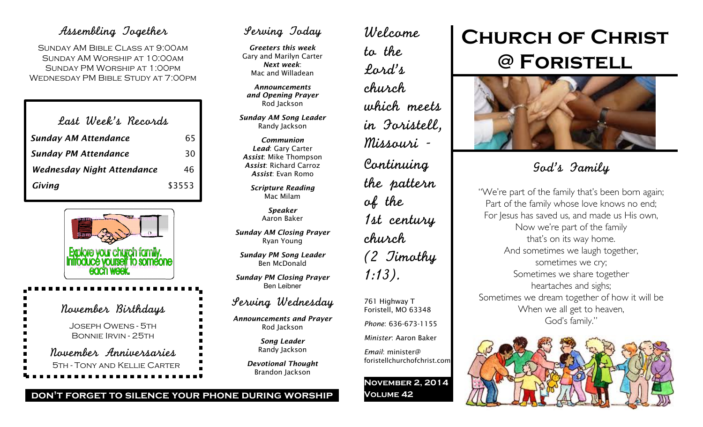### Assembling Together

Sunday AM Bible Class at 9:00am Sunday AM Worship at 10:00am Sunday PM Worship at 1:00pm Wednesday PM Bible Study at 7:00pm

| Last Week's Records               |        |
|-----------------------------------|--------|
| <b>Sunday AM Attendance</b>       | 65     |
| <b>Sunday PM Attendance</b>       | 30     |
| <b>Wednesday Night Attendance</b> | 46     |
| Giving                            | \$3553 |



November Birthdays Joseph Owens - 5th Bonnie Irvin - 25th November Anniversaries 5th - Tony and Kellie Carter

## Serving Today

*Greeters this week* Gary and Marilyn Carter *Next week*: Mac and Willadean

*Announcements and Opening Prayer* Rod Jackson

*Sunday AM Song Leader* Randy Jackson

*Communion Lead*: Gary Carter *Assist*: Mike Thompson *Assist*: Richard Carroz *Assist*: Evan Romo

*Scripture Reading* Mac Milam

> *Speaker* Aaron Baker

*Sunday AM Closing Prayer* Ryan Young

*Sunday PM Song Leader* Ben McDonald

*Sunday PM Closing Prayer* Ben Leibner

### Serving Wednesday

*Announcements and Prayer* Rod Jackson

> *Song Leader* Randy Jackson

*Devotional Thought* Brandon Jackson

Welcome to the Lord's church which meets in Foristell, Missouri - Continuing the pattern of the 1st century church (2 Timothy 1:13). 761 Highway T Foristell, MO 63348

*Phone*: 636-673-1155

*Minister*: Aaron Baker

*Email*: minister@ foristellchurchofchrist.com

**November 2, 2014 Volume 42**

# **Church of Christ @ Foristell**



# God's Family

"We're part of the family that's been born again; Part of the family whose love knows no end; For Jesus has saved us, and made us His own, Now we're part of the family that's on its way home. And sometimes we laugh together, sometimes we cry; Sometimes we share together heartaches and sighs; Sometimes we dream together of how it will be When we all get to heaven, God's family."



**don't forget to silence your phone during worship**